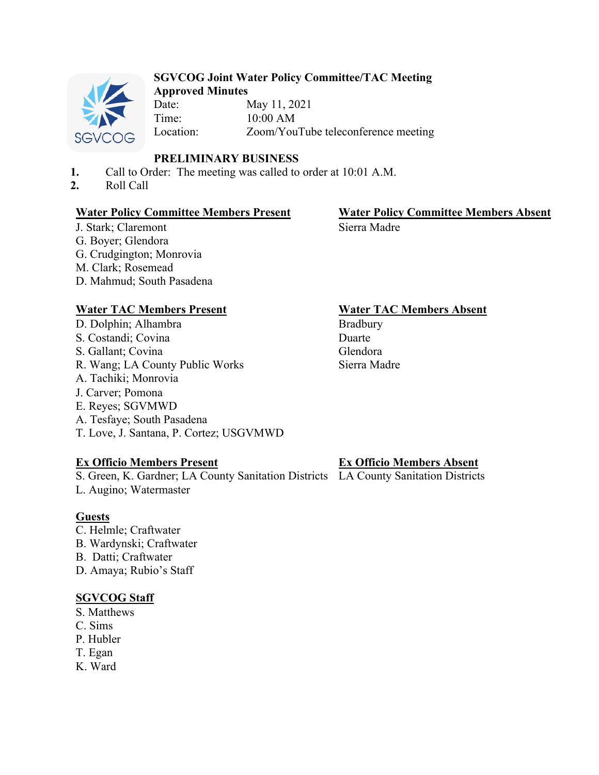

## **SGVCOG Joint Water Policy Committee/TAC Meeting Approved Minutes**

Date: May 11, 2021 Time: 10:00 AM Location: Zoom/YouTube teleconference meeting

# **PRELIMINARY BUSINESS**

- **1.** Call to Order: The meeting was called to order at 10:01 A.M.
- **2.** Roll Call

## **Water Policy Committee Members Present Water Policy Committee Members Absent**

# Sierra Madre

J. Stark; Claremont G. Boyer; Glendora G. Crudgington; Monrovia M. Clark; Rosemead D. Mahmud; South Pasadena

# **Water TAC Members Present Water TAC Members Absent**

D. Dolphin; Alhambra S. Costandi; Covina S. Gallant; Covina R. Wang; LA County Public Works A. Tachiki; Monrovia J. Carver; Pomona E. Reyes; SGVMWD A. Tesfaye; South Pasadena T. Love, J. Santana, P. Cortez; USGVMWD

# **Ex Officio Members Present**

S. Green, K. Gardner; LA County Sanitation Districts LA County Sanitation Districts L. Augino; Watermaster

# **Guests**

- C. Helmle; Craftwater
- B. Wardynski; Craftwater
- B. Datti; Craftwater

D. Amaya; Rubio's Staff

# **SGVCOG Staff**

- S. Matthews
- C. Sims
- P. Hubler
- T. Egan
- K. Ward

# **Ex Officio Members Absent**

Bradbury Duarte Glendora Sierra Madre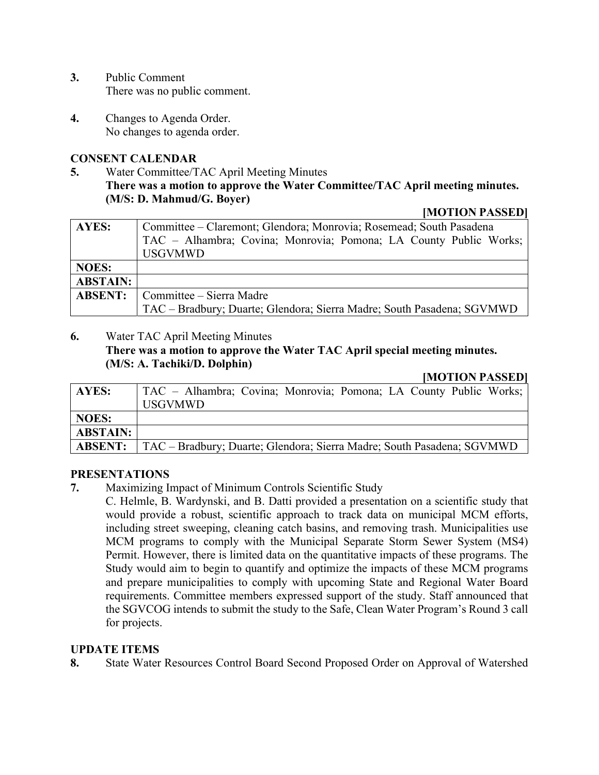- **3.** Public Comment There was no public comment.
- **4.** Changes to Agenda Order. No changes to agenda order.

# **CONSENT CALENDAR**

**5.** Water Committee/TAC April Meeting Minutes **There was a motion to approve the Water Committee/TAC April meeting minutes. (M/S: D. Mahmud/G. Boyer)** 

#### **[MOTION PASSED]**

| AYES:           | Committee – Claremont; Glendora; Monrovia; Rosemead; South Pasadena    |
|-----------------|------------------------------------------------------------------------|
|                 | TAC - Alhambra; Covina; Monrovia; Pomona; LA County Public Works;      |
|                 | <b>USGVMWD</b>                                                         |
| <b>NOES:</b>    |                                                                        |
| <b>ABSTAIN:</b> |                                                                        |
| <b>ABSENT:</b>  | Committee – Sierra Madre                                               |
|                 | TAC - Bradbury; Duarte; Glendora; Sierra Madre; South Pasadena; SGVMWD |

## **6.** Water TAC April Meeting Minutes

# **There was a motion to approve the Water TAC April special meeting minutes. (M/S: A. Tachiki/D. Dolphin)**

## **[MOTION PASSED]**

| AYES:           | TAC – Alhambra; Covina; Monrovia; Pomona; LA County Public Works;      |
|-----------------|------------------------------------------------------------------------|
|                 | <b>USGVMWD</b>                                                         |
| <b>NOES:</b>    |                                                                        |
| <b>ABSTAIN:</b> |                                                                        |
| <b>ABSENT:</b>  | TAC – Bradbury; Duarte; Glendora; Sierra Madre; South Pasadena; SGVMWD |

## **PRESENTATIONS**

- **7.** Maximizing Impact of Minimum Controls Scientific Study
	- C. Helmle, B. Wardynski, and B. Datti provided a presentation on a scientific study that would provide a robust, scientific approach to track data on municipal MCM efforts, including street sweeping, cleaning catch basins, and removing trash. Municipalities use MCM programs to comply with the Municipal Separate Storm Sewer System (MS4) Permit. However, there is limited data on the quantitative impacts of these programs. The Study would aim to begin to quantify and optimize the impacts of these MCM programs and prepare municipalities to comply with upcoming State and Regional Water Board requirements. Committee members expressed support of the study. Staff announced that the SGVCOG intends to submit the study to the Safe, Clean Water Program's Round 3 call for projects.

# **UPDATE ITEMS**

**8.** State Water Resources Control Board Second Proposed Order on Approval of Watershed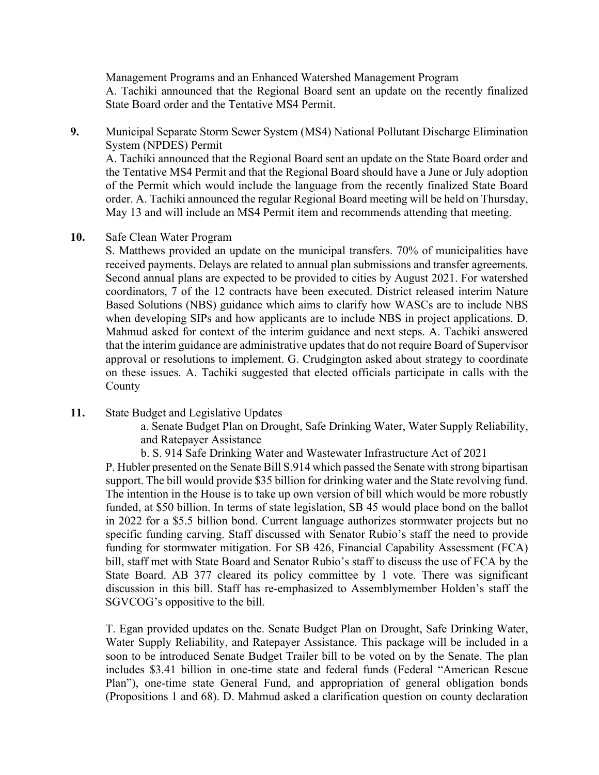Management Programs and an Enhanced Watershed Management Program A. Tachiki announced that the Regional Board sent an update on the recently finalized State Board order and the Tentative MS4 Permit.

**9.** Municipal Separate Storm Sewer System (MS4) National Pollutant Discharge Elimination System (NPDES) Permit

A. Tachiki announced that the Regional Board sent an update on the State Board order and the Tentative MS4 Permit and that the Regional Board should have a June or July adoption of the Permit which would include the language from the recently finalized State Board order. A. Tachiki announced the regular Regional Board meeting will be held on Thursday, May 13 and will include an MS4 Permit item and recommends attending that meeting.

#### **10.** Safe Clean Water Program

S. Matthews provided an update on the municipal transfers. 70% of municipalities have received payments. Delays are related to annual plan submissions and transfer agreements. Second annual plans are expected to be provided to cities by August 2021. For watershed coordinators, 7 of the 12 contracts have been executed. District released interim Nature Based Solutions (NBS) guidance which aims to clarify how WASCs are to include NBS when developing SIPs and how applicants are to include NBS in project applications. D. Mahmud asked for context of the interim guidance and next steps. A. Tachiki answered that the interim guidance are administrative updates that do not require Board of Supervisor approval or resolutions to implement. G. Crudgington asked about strategy to coordinate on these issues. A. Tachiki suggested that elected officials participate in calls with the County

**11.** State Budget and Legislative Updates

a. Senate Budget Plan on Drought, Safe Drinking Water, Water Supply Reliability, and Ratepayer Assistance

b. S. 914 Safe Drinking Water and Wastewater Infrastructure Act of 2021

P. Hubler presented on the Senate Bill S.914 which passed the Senate with strong bipartisan support. The bill would provide \$35 billion for drinking water and the State revolving fund. The intention in the House is to take up own version of bill which would be more robustly funded, at \$50 billion. In terms of state legislation, SB 45 would place bond on the ballot in 2022 for a \$5.5 billion bond. Current language authorizes stormwater projects but no specific funding carving. Staff discussed with Senator Rubio's staff the need to provide funding for stormwater mitigation. For SB 426, Financial Capability Assessment (FCA) bill, staff met with State Board and Senator Rubio's staff to discuss the use of FCA by the State Board. AB 377 cleared its policy committee by 1 vote. There was significant discussion in this bill. Staff has re-emphasized to Assemblymember Holden's staff the SGVCOG's oppositive to the bill.

T. Egan provided updates on the. Senate Budget Plan on Drought, Safe Drinking Water, Water Supply Reliability, and Ratepayer Assistance. This package will be included in a soon to be introduced Senate Budget Trailer bill to be voted on by the Senate. The plan includes \$3.41 billion in one-time state and federal funds (Federal "American Rescue Plan"), one-time state General Fund, and appropriation of general obligation bonds (Propositions 1 and 68). D. Mahmud asked a clarification question on county declaration